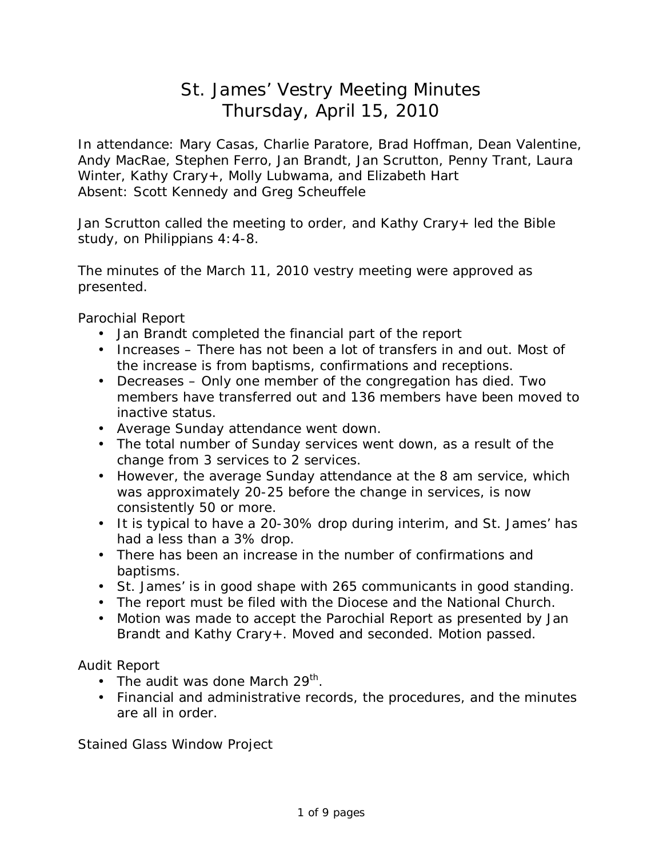## St. James' Vestry Meeting Minutes Thursday, April 15, 2010

In attendance: Mary Casas, Charlie Paratore, Brad Hoffman, Dean Valentine, Andy MacRae, Stephen Ferro, Jan Brandt, Jan Scrutton, Penny Trant, Laura Winter, Kathy Crary+, Molly Lubwama, and Elizabeth Hart Absent: Scott Kennedy and Greg Scheuffele

Jan Scrutton called the meeting to order, and Kathy Crary+ led the Bible study, on Philippians 4:4-8.

The minutes of the March 11, 2010 vestry meeting were approved as presented.

Parochial Report

- Jan Brandt completed the financial part of the report
- Increases There has not been a lot of transfers in and out. Most of the increase is from baptisms, confirmations and receptions.
- Decreases Only one member of the congregation has died. Two members have transferred out and 136 members have been moved to inactive status.
- Average Sunday attendance went down.
- The total number of Sunday services went down, as a result of the change from 3 services to 2 services.
- However, the average Sunday attendance at the 8 am service, which was approximately 20-25 before the change in services, is now consistently 50 or more.
- It is typical to have a 20-30% drop during interim, and St. James' has had a less than a 3% drop.
- There has been an increase in the number of confirmations and baptisms.
- St. James' is in good shape with 265 communicants in good standing.
- The report must be filed with the Diocese and the National Church.
- Motion was made to accept the Parochial Report as presented by Jan Brandt and Kathy Crary+. Moved and seconded. Motion passed.

Audit Report

- The audit was done March 29<sup>th</sup>.
- Financial and administrative records, the procedures, and the minutes are all in order.

Stained Glass Window Project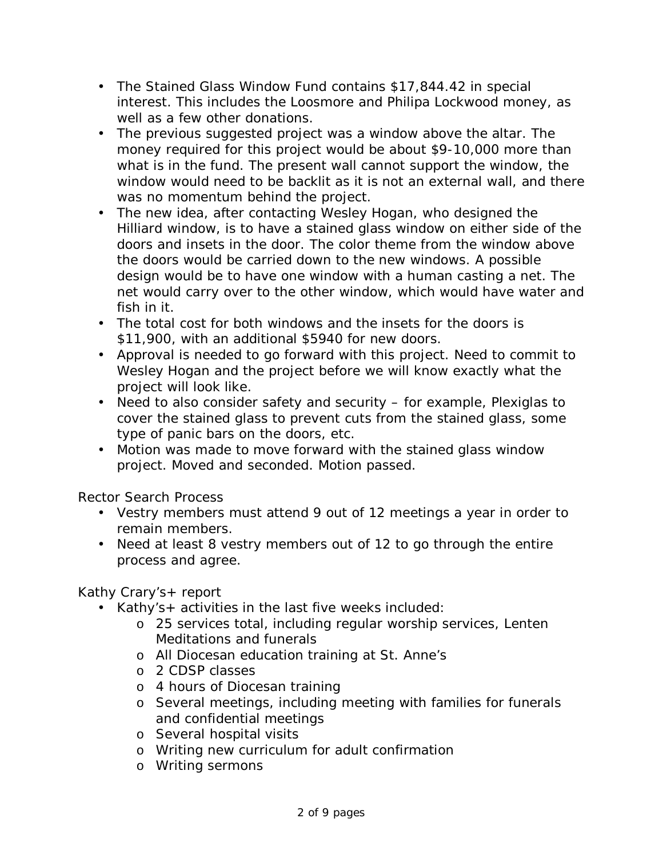- The Stained Glass Window Fund contains \$17,844.42 in special interest. This includes the Loosmore and Philipa Lockwood money, as well as a few other donations.
- The previous suggested project was a window above the altar. The money required for this project would be about \$9-10,000 more than what is in the fund. The present wall cannot support the window, the window would need to be backlit as it is not an external wall, and there was no momentum behind the project.
- The new idea, after contacting Wesley Hogan, who designed the Hilliard window, is to have a stained glass window on either side of the doors and insets in the door. The color theme from the window above the doors would be carried down to the new windows. A possible design would be to have one window with a human casting a net. The net would carry over to the other window, which would have water and fish in it.
- The total cost for both windows and the insets for the doors is \$11,900, with an additional \$5940 for new doors.
- Approval is needed to go forward with this project. Need to commit to Wesley Hogan and the project before we will know exactly what the project will look like.
- Need to also consider safety and security for example, Plexiglas to cover the stained glass to prevent cuts from the stained glass, some type of panic bars on the doors, etc.
- Motion was made to move forward with the stained glass window project. Moved and seconded. Motion passed.

Rector Search Process

- Vestry members must attend 9 out of 12 meetings a year in order to remain members.
- Need at least 8 vestry members out of 12 to go through the entire process and agree.

Kathy Crary's+ report

- Kathy's+ activities in the last five weeks included:
	- o 25 services total, including regular worship services, Lenten Meditations and funerals
	- o All Diocesan education training at St. Anne's
	- o 2 CDSP classes
	- o 4 hours of Diocesan training
	- o Several meetings, including meeting with families for funerals and confidential meetings
	- o Several hospital visits
	- o Writing new curriculum for adult confirmation
	- o Writing sermons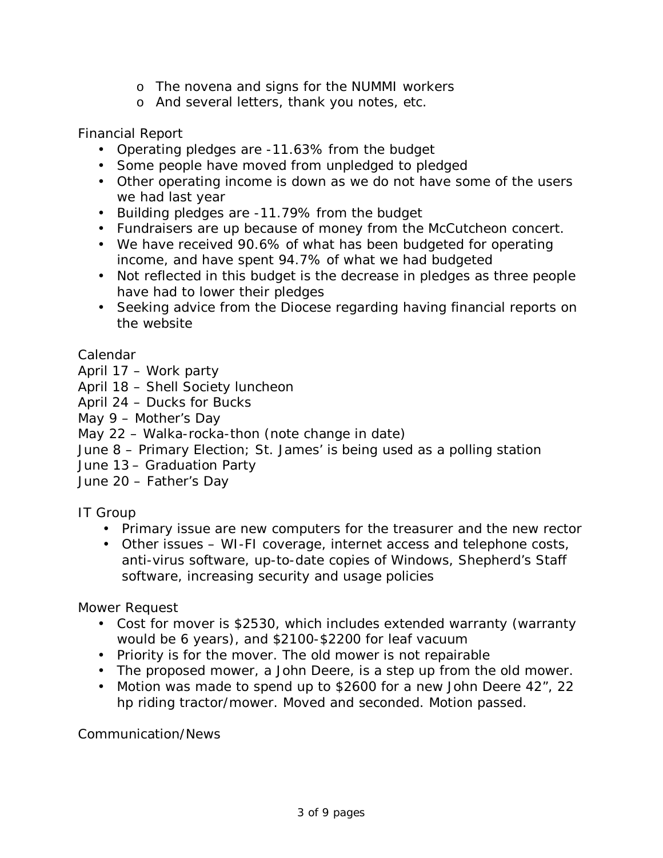- o The novena and signs for the NUMMI workers
- o And several letters, thank you notes, etc.

Financial Report

- Operating pledges are -11.63% from the budget
- Some people have moved from unpledged to pledged
- Other operating income is down as we do not have some of the users we had last year
- Building pledges are -11.79% from the budget
- Fundraisers are up because of money from the McCutcheon concert.
- We have received 90.6% of what has been budgeted for operating income, and have spent 94.7% of what we had budgeted
- Not reflected in this budget is the decrease in pledges as three people have had to lower their pledges
- Seeking advice from the Diocese regarding having financial reports on the website

Calendar

- April 17 Work party
- April 18 Shell Society luncheon
- April 24 Ducks for Bucks
- May 9 Mother's Day
- May 22 Walka-rocka-thon (note change in date)
- June 8 Primary Election; St. James' is being used as a polling station
- June 13 Graduation Party
- June 20 Father's Day

IT Group

- Primary issue are new computers for the treasurer and the new rector
- Other issues WI-FI coverage, internet access and telephone costs, anti-virus software, up-to-date copies of Windows, Shepherd's Staff software, increasing security and usage policies

Mower Request

- Cost for mover is \$2530, which includes extended warranty (warranty would be 6 years), and \$2100-\$2200 for leaf vacuum
- Priority is for the mover. The old mower is not repairable
- The proposed mower, a John Deere, is a step up from the old mower.
- Motion was made to spend up to \$2600 for a new John Deere 42", 22 hp riding tractor/mower. Moved and seconded. Motion passed.

Communication/News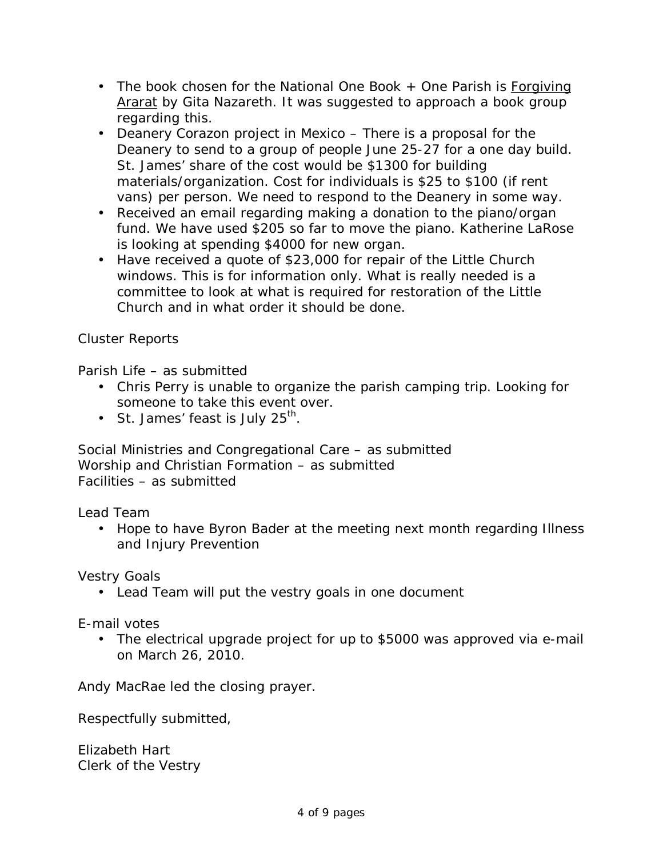- The book chosen for the National One Book + One Parish is Forgiving Ararat by Gita Nazareth. It was suggested to approach a book group regarding this.
- Deanery Corazon project in Mexico There is a proposal for the Deanery to send to a group of people June 25-27 for a one day build. St. James' share of the cost would be \$1300 for building materials/organization. Cost for individuals is \$25 to \$100 (if rent vans) per person. We need to respond to the Deanery in some way.
- Received an email regarding making a donation to the piano/organ fund. We have used \$205 so far to move the piano. Katherine LaRose is looking at spending \$4000 for new organ.
- Have received a quote of \$23,000 for repair of the Little Church windows. This is for information only. What is really needed is a committee to look at what is required for restoration of the Little Church and in what order it should be done.

## Cluster Reports

Parish Life – as submitted

- Chris Perry is unable to organize the parish camping trip. Looking for someone to take this event over.
- St. James' feast is July  $25^{th}$ .

Social Ministries and Congregational Care – as submitted Worship and Christian Formation – as submitted Facilities – as submitted

Lead Team

• Hope to have Byron Bader at the meeting next month regarding Illness and Injury Prevention

Vestry Goals

• Lead Team will put the vestry goals in one document

E-mail votes

• The electrical upgrade project for up to \$5000 was approved via e-mail on March 26, 2010.

Andy MacRae led the closing prayer.

Respectfully submitted,

Elizabeth Hart Clerk of the Vestry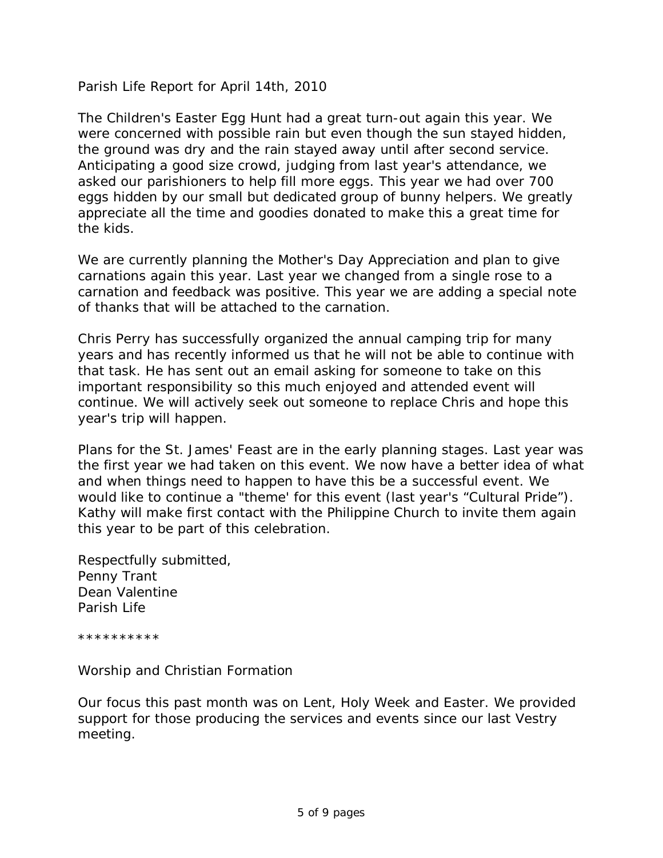Parish Life Report for April 14th, 2010

The Children's Easter Egg Hunt had a great turn-out again this year. We were concerned with possible rain but even though the sun stayed hidden, the ground was dry and the rain stayed away until after second service. Anticipating a good size crowd, judging from last year's attendance, we asked our parishioners to help fill more eggs. This year we had over 700 eggs hidden by our small but dedicated group of bunny helpers. We greatly appreciate all the time and goodies donated to make this a great time for the kids.

We are currently planning the Mother's Day Appreciation and plan to give carnations again this year. Last year we changed from a single rose to a carnation and feedback was positive. This year we are adding a special note of thanks that will be attached to the carnation.

Chris Perry has successfully organized the annual camping trip for many years and has recently informed us that he will not be able to continue with that task. He has sent out an email asking for someone to take on this important responsibility so this much enjoyed and attended event will continue. We will actively seek out someone to replace Chris and hope this year's trip will happen.

Plans for the St. James' Feast are in the early planning stages. Last year was the first year we had taken on this event. We now have a better idea of what and when things need to happen to have this be a successful event. We would like to continue a "theme' for this event (last year's "Cultural Pride"). Kathy will make first contact with the Philippine Church to invite them again this year to be part of this celebration.

Respectfully submitted, Penny Trant Dean Valentine Parish Life

\*\*\*\*\*\*\*\*\*\*

Worship and Christian Formation

Our focus this past month was on Lent, Holy Week and Easter. We provided support for those producing the services and events since our last Vestry meeting.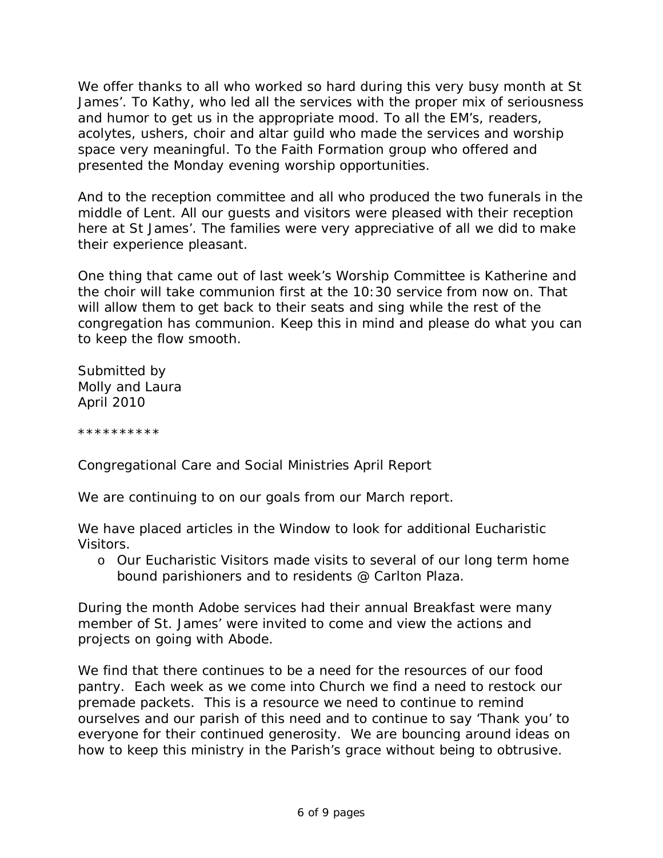We offer thanks to all who worked so hard during this very busy month at St James'. To Kathy, who led all the services with the proper mix of seriousness and humor to get us in the appropriate mood. To all the EM's, readers, acolytes, ushers, choir and altar guild who made the services and worship space very meaningful. To the Faith Formation group who offered and presented the Monday evening worship opportunities.

And to the reception committee and all who produced the two funerals in the middle of Lent. All our guests and visitors were pleased with their reception here at St James'. The families were very appreciative of all we did to make their experience pleasant.

One thing that came out of last week's Worship Committee is Katherine and the choir will take communion first at the 10:30 service from now on. That will allow them to get back to their seats and sing while the rest of the congregation has communion. Keep this in mind and please do what you can to keep the flow smooth.

Submitted by Molly and Laura April 2010

\*\*\*\*\*\*\*\*\*\*

Congregational Care and Social Ministries April Report

We are continuing to on our goals from our March report.

We have placed articles in the Window to look for additional Eucharistic Visitors.

o Our Eucharistic Visitors made visits to several of our long term home bound parishioners and to residents @ Carlton Plaza.

During the month Adobe services had their annual Breakfast were many member of St. James' were invited to come and view the actions and projects on going with Abode.

We find that there continues to be a need for the resources of our food pantry. Each week as we come into Church we find a need to restock our premade packets. This is a resource we need to continue to remind ourselves and our parish of this need and to continue to say 'Thank you' to everyone for their continued generosity. We are bouncing around ideas on how to keep this ministry in the Parish's grace without being to obtrusive.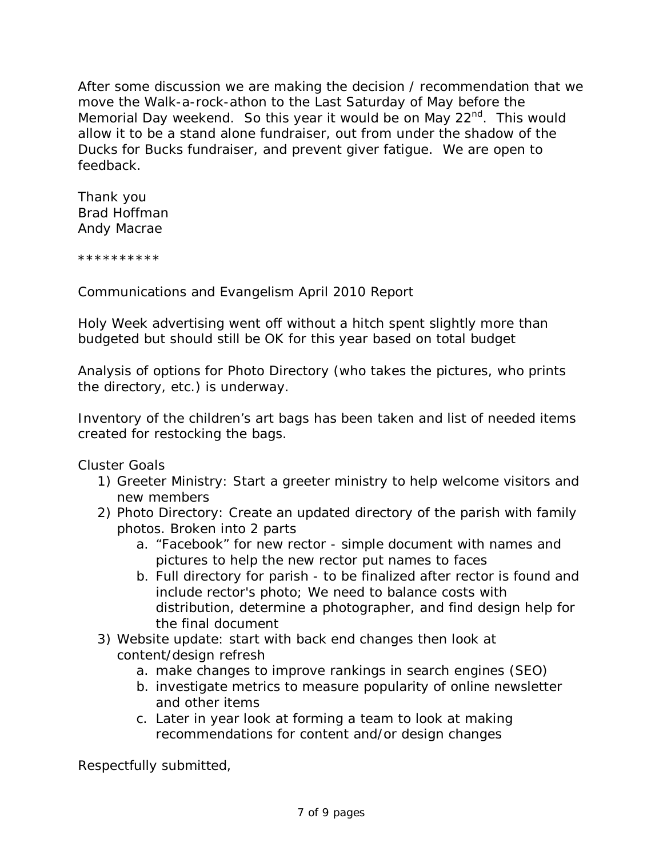After some discussion we are making the decision / recommendation that we move the Walk-a-rock-athon to the Last Saturday of May before the Memorial Day weekend. So this year it would be on May 22<sup>nd</sup>. This would allow it to be a stand alone fundraiser, out from under the shadow of the Ducks for Bucks fundraiser, and prevent giver fatigue. We are open to feedback.

Thank you Brad Hoffman Andy Macrae

\*\*\*\*\*\*\*\*\*\*

Communications and Evangelism April 2010 Report

Holy Week advertising went off without a hitch spent slightly more than budgeted but should still be OK for this year based on total budget

Analysis of options for Photo Directory (who takes the pictures, who prints the directory, etc.) is underway.

Inventory of the children's art bags has been taken and list of needed items created for restocking the bags.

Cluster Goals

- 1) Greeter Ministry: Start a greeter ministry to help welcome visitors and new members
- 2) Photo Directory: Create an updated directory of the parish with family photos. Broken into 2 parts
	- a. "Facebook" for new rector simple document with names and pictures to help the new rector put names to faces
	- b. Full directory for parish to be finalized after rector is found and include rector's photo; We need to balance costs with distribution, determine a photographer, and find design help for the final document
- 3) Website update: start with back end changes then look at content/design refresh
	- a. make changes to improve rankings in search engines (SEO)
	- b. investigate metrics to measure popularity of online newsletter and other items
	- c. Later in year look at forming a team to look at making recommendations for content and/or design changes

Respectfully submitted,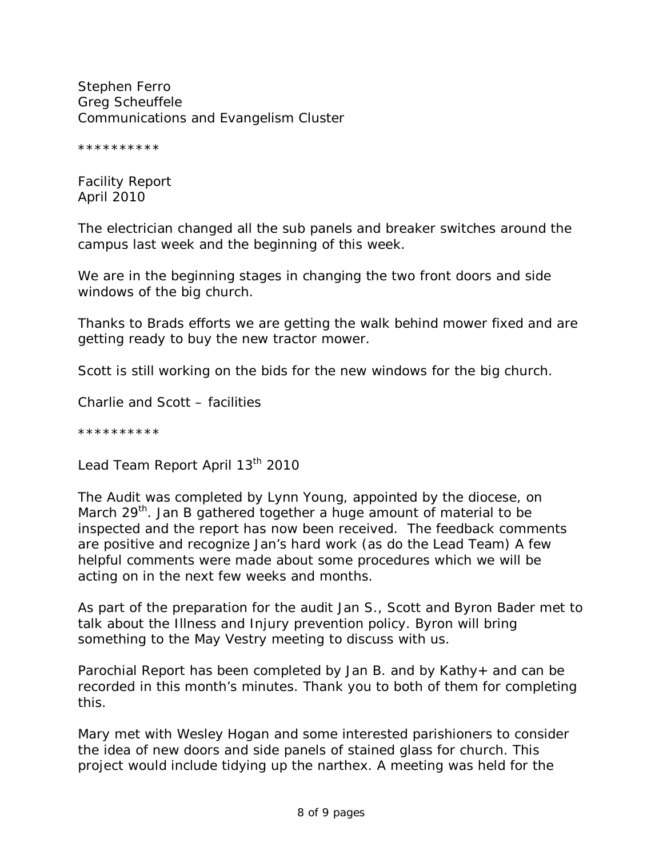Stephen Ferro Greg Scheuffele Communications and Evangelism Cluster

\*\*\*\*\*\*\*\*\*\*

Facility Report April 2010

The electrician changed all the sub panels and breaker switches around the campus last week and the beginning of this week.

We are in the beginning stages in changing the two front doors and side windows of the big church.

Thanks to Brads efforts we are getting the walk behind mower fixed and are getting ready to buy the new tractor mower.

Scott is still working on the bids for the new windows for the big church.

Charlie and Scott – facilities

\*\*\*\*\*\*\*\*\*\*

Lead Team Report April 13<sup>th</sup> 2010

The Audit was completed by Lynn Young, appointed by the diocese, on March 29<sup>th</sup>. Jan B gathered together a huge amount of material to be inspected and the report has now been received. The feedback comments are positive and recognize Jan's hard work (as do the Lead Team) A few helpful comments were made about some procedures which we will be acting on in the next few weeks and months.

As part of the preparation for the audit Jan S., Scott and Byron Bader met to talk about the Illness and Injury prevention policy. Byron will bring something to the May Vestry meeting to discuss with us.

Parochial Report has been completed by Jan B. and by Kathy+ and can be recorded in this month's minutes. Thank you to both of them for completing this.

Mary met with Wesley Hogan and some interested parishioners to consider the idea of new doors and side panels of stained glass for church. This project would include tidying up the narthex. A meeting was held for the